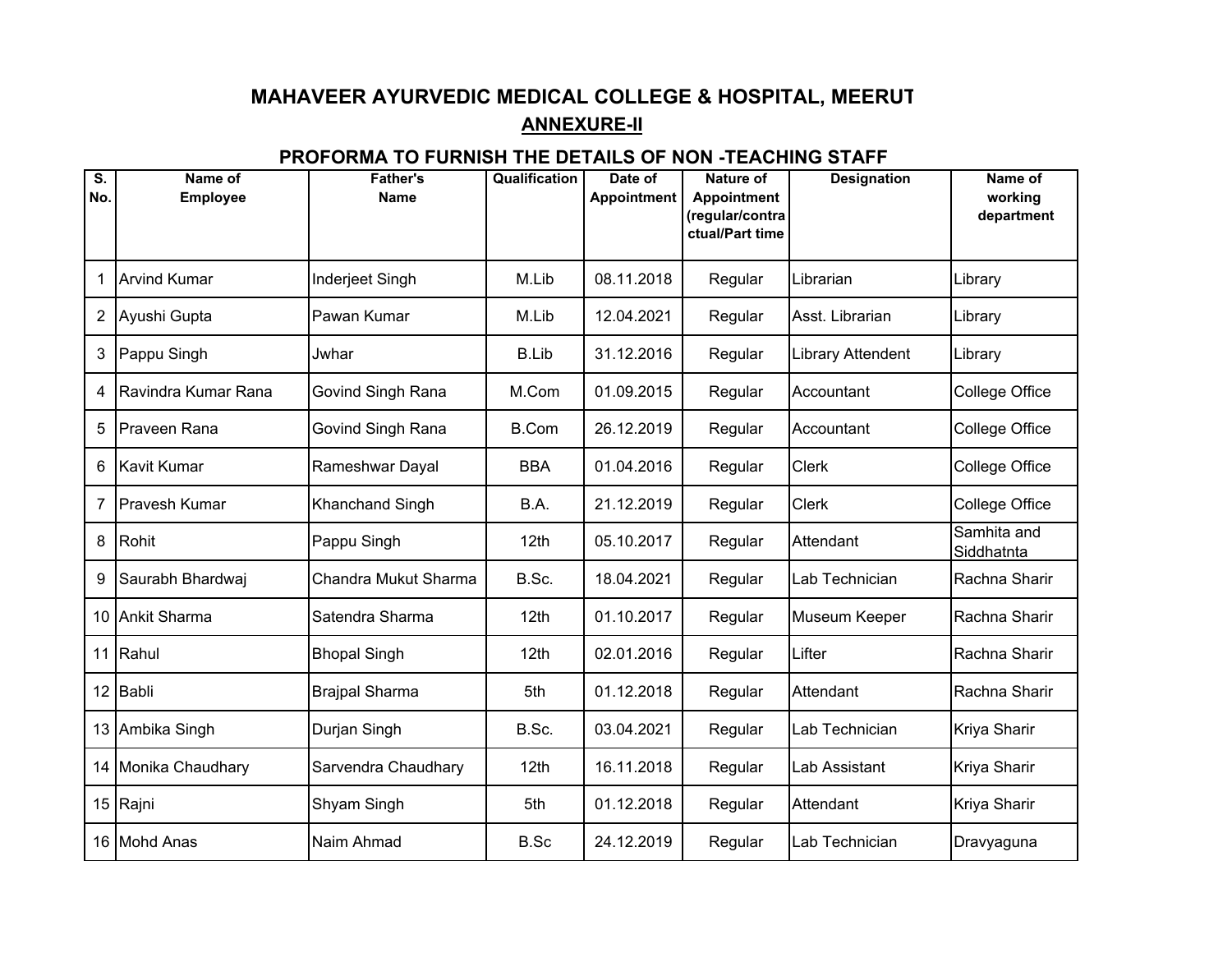## **MAHAVEER AYURVEDIC MEDICAL COLLEGE & HOSPITAL, MEERUTANNEXURE-II**

## **PROFORMA TO FURNISH THE DETAILS OF NON -TEACHING STAFF**

| S.<br>No. | Name of<br><b>Employee</b> | <b>Father's</b><br><b>Name</b> | Qualification | Date of<br><b>Appointment</b> | <b>Nature of</b><br>Appointment<br>(regular/contra | <b>Designation</b> | Name of<br>working<br>department |
|-----------|----------------------------|--------------------------------|---------------|-------------------------------|----------------------------------------------------|--------------------|----------------------------------|
|           |                            |                                |               |                               | ctual/Part time                                    |                    |                                  |
| 1         | <b>Arvind Kumar</b>        | Inderjeet Singh                | M.Lib         | 08.11.2018                    | Regular                                            | Librarian          | Library                          |
| 2         | Ayushi Gupta               | Pawan Kumar                    | M.Lib         | 12.04.2021                    | Regular                                            | Asst. Librarian    | Library                          |
| 3         | Pappu Singh                | Jwhar                          | <b>B.Lib</b>  | 31.12.2016                    | Regular                                            | Library Attendent  | Library                          |
| 4         | Ravindra Kumar Rana        | Govind Singh Rana              | M.Com         | 01.09.2015                    | Regular                                            | Accountant         | <b>College Office</b>            |
| 5         | Praveen Rana               | Govind Singh Rana              | <b>B.Com</b>  | 26.12.2019                    | Regular                                            | Accountant         | <b>College Office</b>            |
| 6         | <b>Kavit Kumar</b>         | Rameshwar Dayal                | <b>BBA</b>    | 01.04.2016                    | Regular                                            | <b>Clerk</b>       | <b>College Office</b>            |
| 7         | Pravesh Kumar              | Khanchand Singh                | B.A.          | 21.12.2019                    | Regular                                            | <b>Clerk</b>       | College Office                   |
| 8         | Rohit                      | Pappu Singh                    | 12th          | 05.10.2017                    | Regular                                            | Attendant          | Samhita and<br>Siddhatnta        |
| 9         | Saurabh Bhardwaj           | Chandra Mukut Sharma           | B.Sc.         | 18.04.2021                    | Regular                                            | Lab Technician     | Rachna Sharir                    |
| 10        | <b>Ankit Sharma</b>        | Satendra Sharma                | 12th          | 01.10.2017                    | Regular                                            | Museum Keeper      | Rachna Sharir                    |
| 11        | Rahul                      | <b>Bhopal Singh</b>            | 12th          | 02.01.2016                    | Regular                                            | Lifter             | Rachna Sharir                    |
| 12        | Babli                      | <b>Brajpal Sharma</b>          | 5th           | 01.12.2018                    | Regular                                            | Attendant          | Rachna Sharir                    |
| 13        | Ambika Singh               | Durjan Singh                   | B.Sc.         | 03.04.2021                    | Regular                                            | Lab Technician     | Kriya Sharir                     |
|           | 14 Monika Chaudhary        | Sarvendra Chaudhary            | 12th          | 16.11.2018                    | Regular                                            | Lab Assistant      | Kriya Sharir                     |
|           | 15 Rajni                   | Shyam Singh                    | 5th           | 01.12.2018                    | Regular                                            | Attendant          | Kriya Sharir                     |
|           | 16 Mohd Anas               | Naim Ahmad                     | B.Sc          | 24.12.2019                    | Regular                                            | Lab Technician     | Dravyaguna                       |